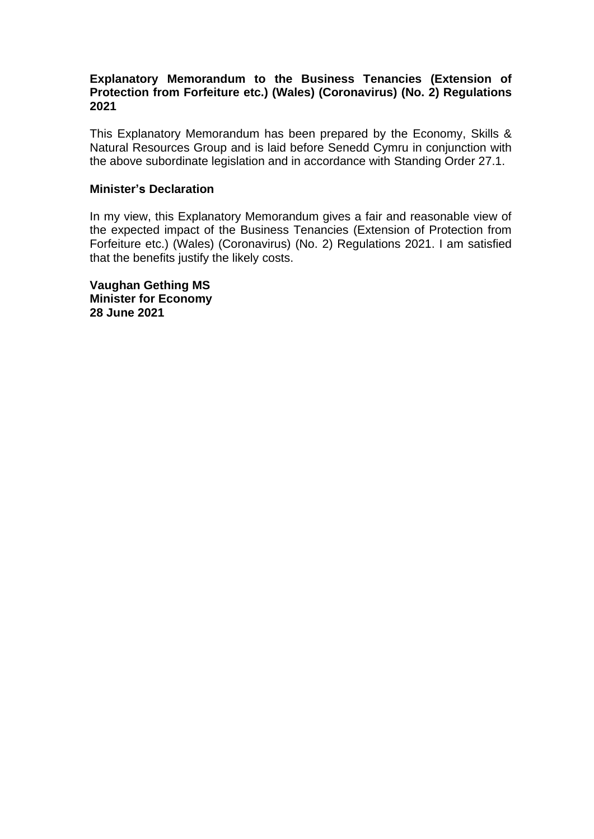### **Explanatory Memorandum to the Business Tenancies (Extension of Protection from Forfeiture etc.) (Wales) (Coronavirus) (No. 2) Regulations 2021**

This Explanatory Memorandum has been prepared by the Economy, Skills & Natural Resources Group and is laid before Senedd Cymru in conjunction with the above subordinate legislation and in accordance with Standing Order 27.1.

#### **Minister's Declaration**

In my view, this Explanatory Memorandum gives a fair and reasonable view of the expected impact of the Business Tenancies (Extension of Protection from Forfeiture etc.) (Wales) (Coronavirus) (No. 2) Regulations 2021. I am satisfied that the benefits justify the likely costs.

**Vaughan Gething MS Minister for Economy 28 June 2021**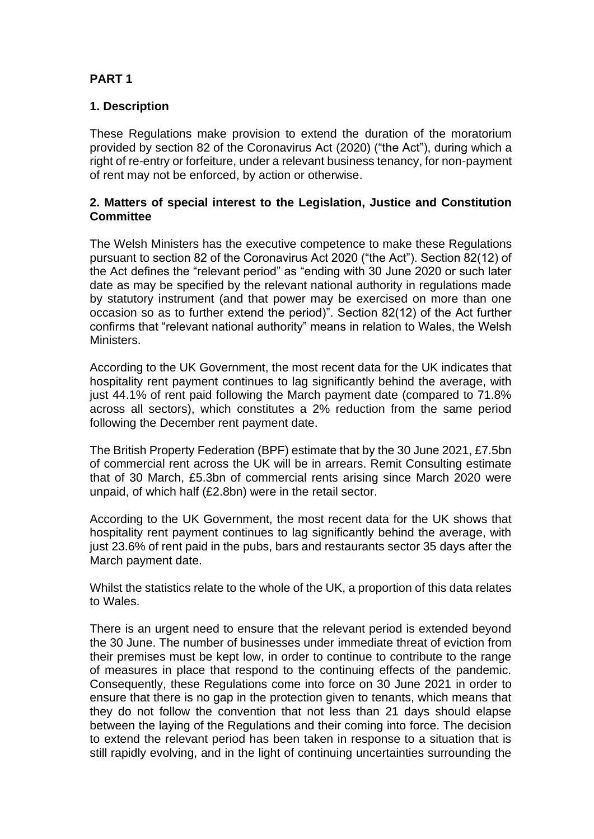# **PART 1**

### **1. Description**

These Regulations make provision to extend the duration of the moratorium provided by section 82 of the Coronavirus Act (2020) ("the Act"), during which a right of re-entry or forfeiture, under a relevant business tenancy, for non-payment of rent may not be enforced, by action or otherwise.

### **2. Matters of special interest to the Legislation, Justice and Constitution Committee**

The Welsh Ministers has the executive competence to make these Regulations pursuant to section 82 of the Coronavirus Act 2020 ("the Act"). Section 82(12) of the Act defines the "relevant period" as "ending with 30 June 2020 or such later date as may be specified by the relevant national authority in regulations made by statutory instrument (and that power may be exercised on more than one occasion so as to further extend the period)". Section 82(12) of the Act further confirms that "relevant national authority" means in relation to Wales, the Welsh Ministers.

According to the UK Government, the most recent data for the UK indicates that hospitality rent payment continues to lag significantly behind the average, with just 44.1% of rent paid following the March payment date (compared to 71.8% across all sectors), which constitutes a 2% reduction from the same period following the December rent payment date.

The British Property Federation (BPF) estimate that by the 30 June 2021, £7.5bn of commercial rent across the UK will be in arrears. Remit Consulting estimate that of 30 March, £5.3bn of commercial rents arising since March 2020 were unpaid, of which half (£2.8bn) were in the retail sector.

According to the UK Government, the most recent data for the UK shows that hospitality rent payment continues to lag significantly behind the average, with just 23.6% of rent paid in the pubs, bars and restaurants sector 35 days after the March payment date.

Whilst the statistics relate to the whole of the UK, a proportion of this data relates to Wales.

There is an urgent need to ensure that the relevant period is extended beyond the 30 June. The number of businesses under immediate threat of eviction from their premises must be kept low, in order to continue to contribute to the range of measures in place that respond to the continuing effects of the pandemic. Consequently, these Regulations come into force on 30 June 2021 in order to ensure that there is no gap in the protection given to tenants, which means that they do not follow the convention that not less than 21 days should elapse between the laying of the Regulations and their coming into force. The decision to extend the relevant period has been taken in response to a situation that is still rapidly evolving, and in the light of continuing uncertainties surrounding the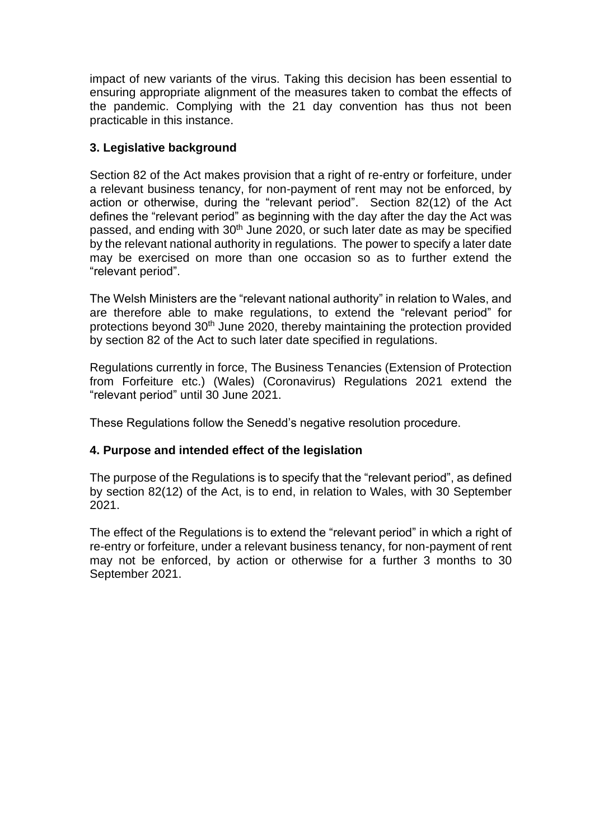impact of new variants of the virus. Taking this decision has been essential to ensuring appropriate alignment of the measures taken to combat the effects of the pandemic. Complying with the 21 day convention has thus not been practicable in this instance.

# **3. Legislative background**

Section 82 of the Act makes provision that a right of re-entry or forfeiture, under a relevant business tenancy, for non-payment of rent may not be enforced, by action or otherwise, during the "relevant period". Section 82(12) of the Act defines the "relevant period" as beginning with the day after the day the Act was passed, and ending with 30<sup>th</sup> June 2020, or such later date as may be specified by the relevant national authority in regulations. The power to specify a later date may be exercised on more than one occasion so as to further extend the "relevant period".

The Welsh Ministers are the "relevant national authority" in relation to Wales, and are therefore able to make regulations, to extend the "relevant period" for protections beyond  $30<sup>th</sup>$  June 2020, thereby maintaining the protection provided by section 82 of the Act to such later date specified in regulations.

Regulations currently in force, The Business Tenancies (Extension of Protection from Forfeiture etc.) (Wales) (Coronavirus) Regulations 2021 extend the "relevant period" until 30 June 2021.

These Regulations follow the Senedd's negative resolution procedure.

# **4. Purpose and intended effect of the legislation**

The purpose of the Regulations is to specify that the "relevant period", as defined by section 82(12) of the Act, is to end, in relation to Wales, with 30 September 2021.

The effect of the Regulations is to extend the "relevant period" in which a right of re-entry or forfeiture, under a relevant business tenancy, for non-payment of rent may not be enforced, by action or otherwise for a further 3 months to 30 September 2021.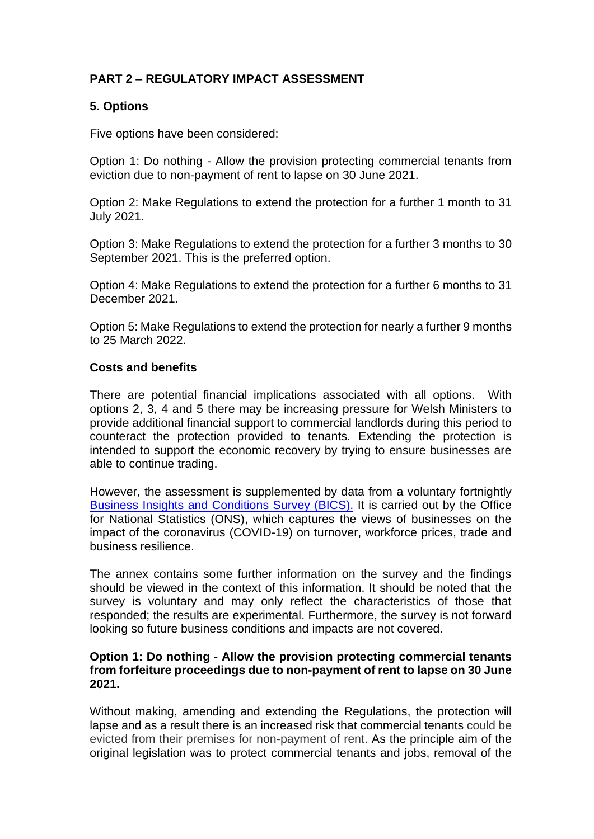# **PART 2 – REGULATORY IMPACT ASSESSMENT**

### **5. Options**

Five options have been considered:

Option 1: Do nothing - Allow the provision protecting commercial tenants from eviction due to non-payment of rent to lapse on 30 June 2021.

Option 2: Make Regulations to extend the protection for a further 1 month to 31 July 2021.

Option 3: Make Regulations to extend the protection for a further 3 months to 30 September 2021. This is the preferred option.

Option 4: Make Regulations to extend the protection for a further 6 months to 31 December 2021.

Option 5: Make Regulations to extend the protection for nearly a further 9 months to 25 March 2022.

#### **Costs and benefits**

There are potential financial implications associated with all options. With options 2, 3, 4 and 5 there may be increasing pressure for Welsh Ministers to provide additional financial support to commercial landlords during this period to counteract the protection provided to tenants. Extending the protection is intended to support the economic recovery by trying to ensure businesses are able to continue trading.

However, the assessment is supplemented by data from a voluntary fortnightly [Business Insights and Conditions Survey \(BICS\).](https://www.ons.gov.uk/businessindustryandtrade/business/businessservices/bulletins/businessinsightsandimpactontheukeconomy/7january2021/relateddata) It is carried out by the Office for National Statistics (ONS), which captures the views of businesses on the impact of the coronavirus (COVID-19) on turnover, workforce prices, trade and business resilience.

The annex contains some further information on the survey and the findings should be viewed in the context of this information. It should be noted that the survey is voluntary and may only reflect the characteristics of those that responded; the results are experimental. Furthermore, the survey is not forward looking so future business conditions and impacts are not covered.

### **Option 1: Do nothing - Allow the provision protecting commercial tenants from forfeiture proceedings due to non-payment of rent to lapse on 30 June 2021.**

Without making, amending and extending the Regulations, the protection will lapse and as a result there is an increased risk that commercial tenants could be evicted from their premises for non-payment of rent. As the principle aim of the original legislation was to protect commercial tenants and jobs, removal of the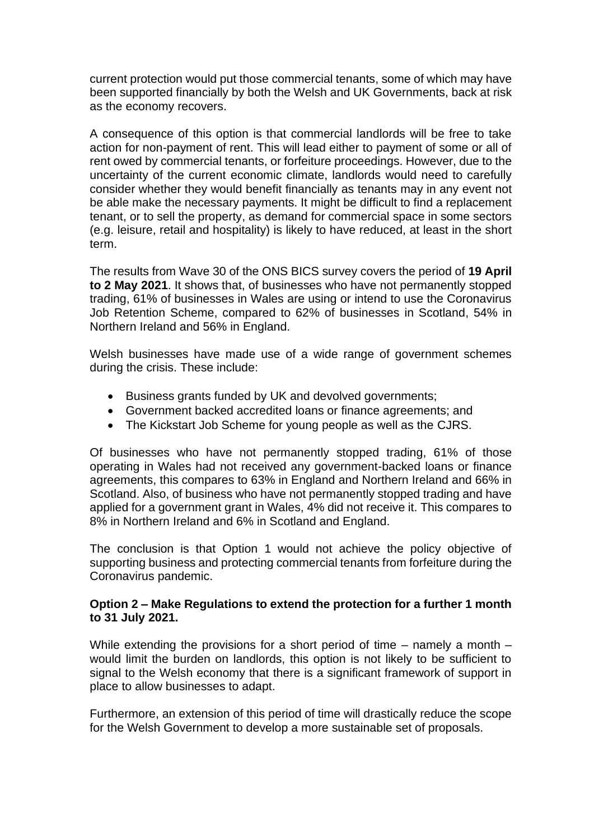current protection would put those commercial tenants, some of which may have been supported financially by both the Welsh and UK Governments, back at risk as the economy recovers.

A consequence of this option is that commercial landlords will be free to take action for non-payment of rent. This will lead either to payment of some or all of rent owed by commercial tenants, or forfeiture proceedings. However, due to the uncertainty of the current economic climate, landlords would need to carefully consider whether they would benefit financially as tenants may in any event not be able make the necessary payments. It might be difficult to find a replacement tenant, or to sell the property, as demand for commercial space in some sectors (e.g. leisure, retail and hospitality) is likely to have reduced, at least in the short term.

The results from Wave 30 of the ONS BICS survey covers the period of **19 April to 2 May 2021**. It shows that, of businesses who have not permanently stopped trading, 61% of businesses in Wales are using or intend to use the Coronavirus Job Retention Scheme, compared to 62% of businesses in Scotland, 54% in Northern Ireland and 56% in England.

Welsh businesses have made use of a wide range of government schemes during the crisis. These include:

- Business grants funded by UK and devolved governments;
- Government backed accredited loans or finance agreements; and
- The Kickstart Job Scheme for young people as well as the CJRS.

Of businesses who have not permanently stopped trading, 61% of those operating in Wales had not received any government-backed loans or finance agreements, this compares to 63% in England and Northern Ireland and 66% in Scotland. Also, of business who have not permanently stopped trading and have applied for a government grant in Wales, 4% did not receive it. This compares to 8% in Northern Ireland and 6% in Scotland and England.

The conclusion is that Option 1 would not achieve the policy objective of supporting business and protecting commercial tenants from forfeiture during the Coronavirus pandemic.

### **Option 2 – Make Regulations to extend the protection for a further 1 month to 31 July 2021.**

While extending the provisions for a short period of time – namely a month – would limit the burden on landlords, this option is not likely to be sufficient to signal to the Welsh economy that there is a significant framework of support in place to allow businesses to adapt.

Furthermore, an extension of this period of time will drastically reduce the scope for the Welsh Government to develop a more sustainable set of proposals.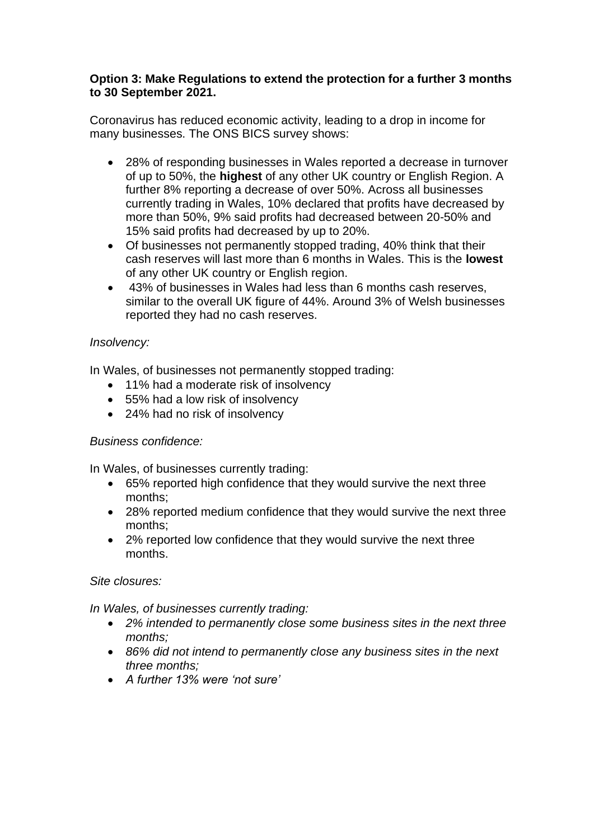### **Option 3: Make Regulations to extend the protection for a further 3 months to 30 September 2021.**

Coronavirus has reduced economic activity, leading to a drop in income for many businesses. The ONS BICS survey shows:

- 28% of responding businesses in Wales reported a decrease in turnover of up to 50%, the **highest** of any other UK country or English Region. A further 8% reporting a decrease of over 50%. Across all businesses currently trading in Wales, 10% declared that profits have decreased by more than 50%, 9% said profits had decreased between 20-50% and 15% said profits had decreased by up to 20%.
- Of businesses not permanently stopped trading, 40% think that their cash reserves will last more than 6 months in Wales. This is the **lowest** of any other UK country or English region.
- 43% of businesses in Wales had less than 6 months cash reserves, similar to the overall UK figure of 44%. Around 3% of Welsh businesses reported they had no cash reserves.

# *Insolvency:*

In Wales, of businesses not permanently stopped trading:

- 11% had a moderate risk of insolvency
- 55% had a low risk of insolvency
- 24% had no risk of insolvency

# *Business confidence:*

In Wales, of businesses currently trading:

- 65% reported high confidence that they would survive the next three months;
- 28% reported medium confidence that they would survive the next three months;
- 2% reported low confidence that they would survive the next three months.

### *Site closures:*

*In Wales, of businesses currently trading:*

- *2% intended to permanently close some business sites in the next three months;*
- *86% did not intend to permanently close any business sites in the next three months;*
- *A further 13% were 'not sure'*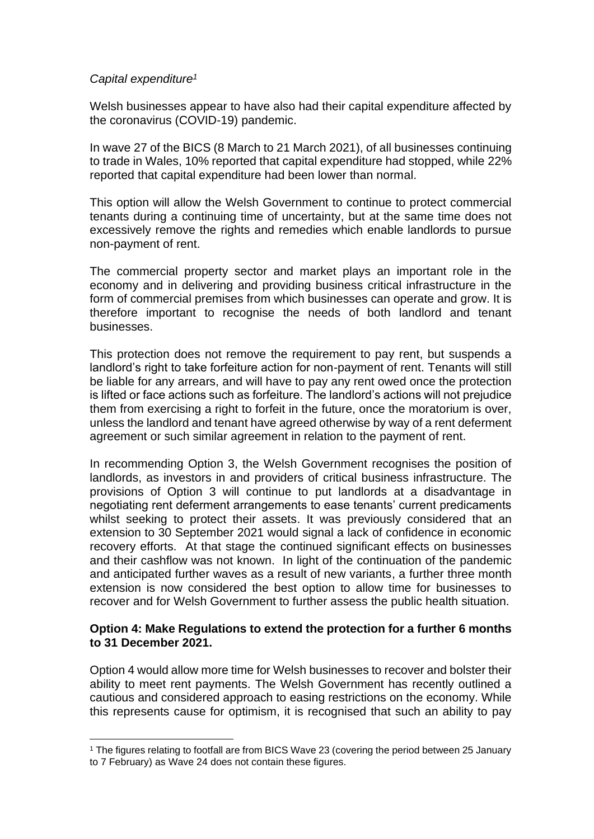### *Capital expenditure<sup>1</sup>*

Welsh businesses appear to have also had their capital expenditure affected by the coronavirus (COVID-19) pandemic.

In wave 27 of the BICS (8 March to 21 March 2021), of all businesses continuing to trade in Wales, 10% reported that capital expenditure had stopped, while 22% reported that capital expenditure had been lower than normal.

This option will allow the Welsh Government to continue to protect commercial tenants during a continuing time of uncertainty, but at the same time does not excessively remove the rights and remedies which enable landlords to pursue non-payment of rent.

The commercial property sector and market plays an important role in the economy and in delivering and providing business critical infrastructure in the form of commercial premises from which businesses can operate and grow. It is therefore important to recognise the needs of both landlord and tenant businesses.

This protection does not remove the requirement to pay rent, but suspends a landlord's right to take forfeiture action for non-payment of rent. Tenants will still be liable for any arrears, and will have to pay any rent owed once the protection is lifted or face actions such as forfeiture. The landlord's actions will not prejudice them from exercising a right to forfeit in the future, once the moratorium is over, unless the landlord and tenant have agreed otherwise by way of a rent deferment agreement or such similar agreement in relation to the payment of rent.

In recommending Option 3, the Welsh Government recognises the position of landlords, as investors in and providers of critical business infrastructure. The provisions of Option 3 will continue to put landlords at a disadvantage in negotiating rent deferment arrangements to ease tenants' current predicaments whilst seeking to protect their assets. It was previously considered that an extension to 30 September 2021 would signal a lack of confidence in economic recovery efforts. At that stage the continued significant effects on businesses and their cashflow was not known. In light of the continuation of the pandemic and anticipated further waves as a result of new variants, a further three month extension is now considered the best option to allow time for businesses to recover and for Welsh Government to further assess the public health situation.

#### **Option 4: Make Regulations to extend the protection for a further 6 months to 31 December 2021.**

Option 4 would allow more time for Welsh businesses to recover and bolster their ability to meet rent payments. The Welsh Government has recently outlined a cautious and considered approach to easing restrictions on the economy. While this represents cause for optimism, it is recognised that such an ability to pay

<sup>1</sup> The figures relating to footfall are from BICS Wave 23 (covering the period between 25 January to 7 February) as Wave 24 does not contain these figures.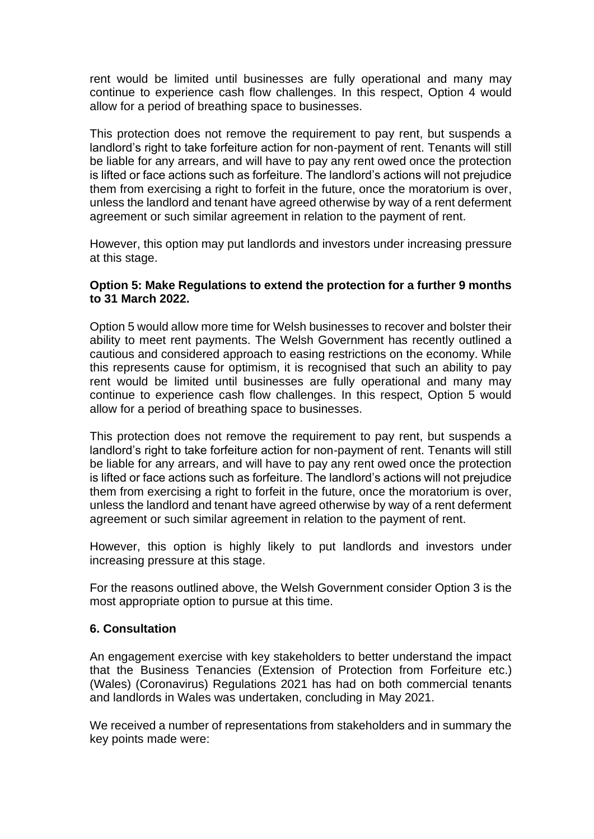rent would be limited until businesses are fully operational and many may continue to experience cash flow challenges. In this respect, Option 4 would allow for a period of breathing space to businesses.

This protection does not remove the requirement to pay rent, but suspends a landlord's right to take forfeiture action for non-payment of rent. Tenants will still be liable for any arrears, and will have to pay any rent owed once the protection is lifted or face actions such as forfeiture. The landlord's actions will not prejudice them from exercising a right to forfeit in the future, once the moratorium is over, unless the landlord and tenant have agreed otherwise by way of a rent deferment agreement or such similar agreement in relation to the payment of rent.

However, this option may put landlords and investors under increasing pressure at this stage.

### **Option 5: Make Regulations to extend the protection for a further 9 months to 31 March 2022.**

Option 5 would allow more time for Welsh businesses to recover and bolster their ability to meet rent payments. The Welsh Government has recently outlined a cautious and considered approach to easing restrictions on the economy. While this represents cause for optimism, it is recognised that such an ability to pay rent would be limited until businesses are fully operational and many may continue to experience cash flow challenges. In this respect, Option 5 would allow for a period of breathing space to businesses.

This protection does not remove the requirement to pay rent, but suspends a landlord's right to take forfeiture action for non-payment of rent. Tenants will still be liable for any arrears, and will have to pay any rent owed once the protection is lifted or face actions such as forfeiture. The landlord's actions will not prejudice them from exercising a right to forfeit in the future, once the moratorium is over, unless the landlord and tenant have agreed otherwise by way of a rent deferment agreement or such similar agreement in relation to the payment of rent.

However, this option is highly likely to put landlords and investors under increasing pressure at this stage.

For the reasons outlined above, the Welsh Government consider Option 3 is the most appropriate option to pursue at this time.

### **6. Consultation**

An engagement exercise with key stakeholders to better understand the impact that the Business Tenancies (Extension of Protection from Forfeiture etc.) (Wales) (Coronavirus) Regulations 2021 has had on both commercial tenants and landlords in Wales was undertaken, concluding in May 2021.

We received a number of representations from stakeholders and in summary the key points made were: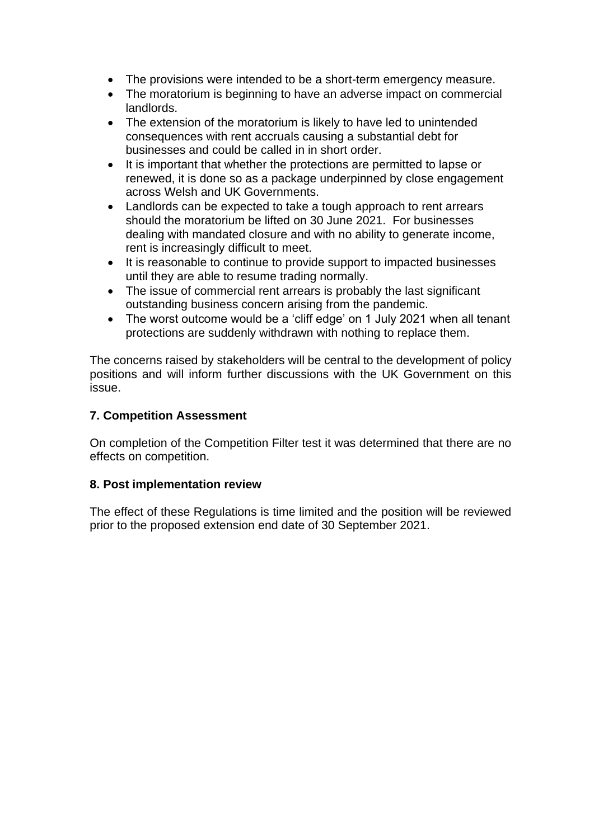- The provisions were intended to be a short-term emergency measure.
- The moratorium is beginning to have an adverse impact on commercial landlords.
- The extension of the moratorium is likely to have led to unintended consequences with rent accruals causing a substantial debt for businesses and could be called in in short order.
- It is important that whether the protections are permitted to lapse or renewed, it is done so as a package underpinned by close engagement across Welsh and UK Governments.
- Landlords can be expected to take a tough approach to rent arrears should the moratorium be lifted on 30 June 2021. For businesses dealing with mandated closure and with no ability to generate income, rent is increasingly difficult to meet.
- It is reasonable to continue to provide support to impacted businesses until they are able to resume trading normally.
- The issue of commercial rent arrears is probably the last significant outstanding business concern arising from the pandemic.
- The worst outcome would be a 'cliff edge' on 1 July 2021 when all tenant protections are suddenly withdrawn with nothing to replace them.

The concerns raised by stakeholders will be central to the development of policy positions and will inform further discussions with the UK Government on this issue.

### **7. Competition Assessment**

On completion of the Competition Filter test it was determined that there are no effects on competition.

### **8. Post implementation review**

The effect of these Regulations is time limited and the position will be reviewed prior to the proposed extension end date of 30 September 2021.